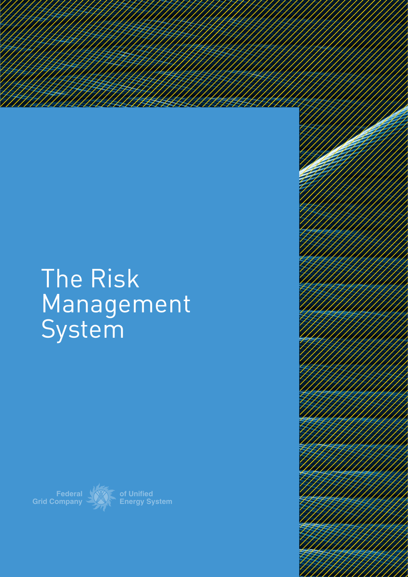# The Risk Management System



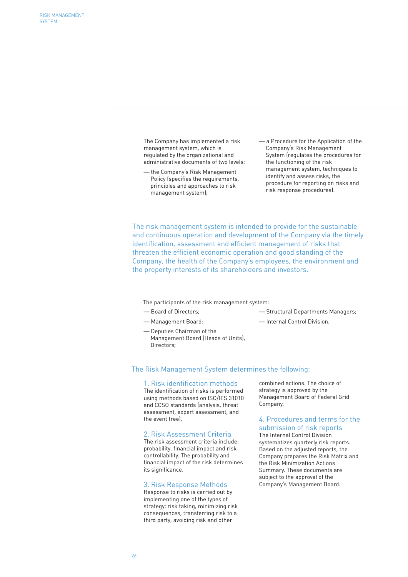The Company has implemented a risk management system, which is regulated by the organizational and administrative documents of two levels: — the Company's Risk Management Policy (specifies the requirements, principles and approaches to risk management system); — a Procedure for the Application of the Company's Risk Management System (regulates the procedures for the functioning of the risk management system, techniques to identify and assess risks, the procedure for reporting on risks and risk response procedures). — Board of Directors; — Management Board; — Deputies Chairman of the Management Board (Heads of Units), Directors: — Structural Departments Managers; — Internal Control Division. 1. Risk identification methods The identification of risks is performed using methods based on ISO/IES 31010 and COSO standards (analysis, threat assessment, expert assessment, and the event tree). 2. Risk Assessment Criteria The risk assessment criteria include: probability, financial impact and risk controllability. The probability and financial impact of the risk determines its significance. 3. Risk Response Methods Response to risks is carried out by implementing one of the types of strategy: risk taking, minimizing risk consequences, transferring risk to a third party, avoiding risk and other combined actions. The choice of strategy is approved by the Management Board of Federal Grid Company. 4. Procedures and terms for the submission of risk reports The Internal Control Division systematizes quarterly risk reports. Based on the adjusted reports, the Company prepares the Risk Matrix and the Risk Minimization Actions Summary. These documents are subject to the approval of the Company's Management Board. The risk management system is intended to provide for the sustainable and continuous operation and development of the Company via the timely identification, assessment and efficient management of risks that threaten the efficient economic operation and good standing of the Company, the health of the Company's employees, the environment and the property interests of its shareholders and investors. The Risk Management System determines the following: The participants of the risk management system: